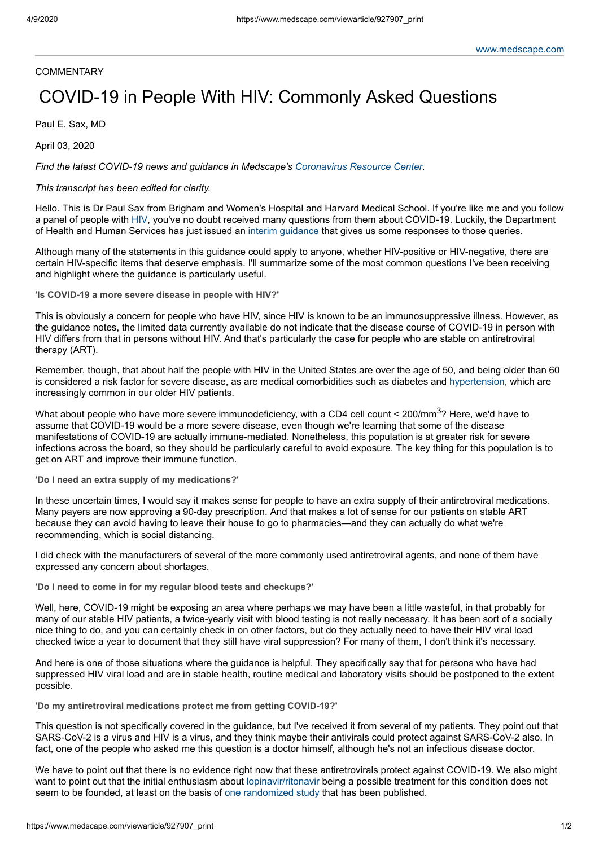## **COMMENTARY**

## COVID-19 in People With HIV: Commonly Asked Questions

Paul E. Sax, MD

April 03, 2020

*Find the latest COVID-19 news and guidance in Medscape's [Coronavirus](https://www.medscape.com/resource/coronavirus) Resource Center.*

## *This transcript has been edited for clarity.*

Hello. This is Dr Paul Sax from Brigham and Women's Hospital and Harvard Medical School. If you're like me and you follow a panel of people with [HIV,](https://emedicine.medscape.com/article/211316-overview) you've no doubt received many questions from them about COVID-19. Luckily, the Department of Health and Human Services has just issued an interim [guidance](https://aidsinfo.nih.gov/guidelines/html/8/covid-19-and-persons-with-hiv--interim-guidance-/0) that gives us some responses to those queries.

Although many of the statements in this guidance could apply to anyone, whether HIV-positive or HIV-negative, there are certain HIV-specific items that deserve emphasis. I'll summarize some of the most common questions I've been receiving and highlight where the guidance is particularly useful.

**'Is COVID-19 a more severe disease in people with HIV?'**

This is obviously a concern for people who have HIV, since HIV is known to be an immunosuppressive illness. However, as the guidance notes, the limited data currently available do not indicate that the disease course of COVID-19 in person with HIV differs from that in persons without HIV. And that's particularly the case for people who are stable on antiretroviral therapy (ART).

Remember, though, that about half the people with HIV in the United States are over the age of 50, and being older than 60 is considered a risk factor for severe disease, as are medical comorbidities such as diabetes and [hypertension,](https://emedicine.medscape.com/article/241381-overview) which are increasingly common in our older HIV patients.

What about people who have more severe immunodeficiency, with a CD4 cell count < 200/mm<sup>3</sup>? Here, we'd have to assume that COVID-19 would be a more severe disease, even though we're learning that some of the disease manifestations of COVID-19 are actually immune-mediated. Nonetheless, this population is at greater risk for severe infections across the board, so they should be particularly careful to avoid exposure. The key thing for this population is to get on ART and improve their immune function.

**'Do I need an extra supply of my medications?'**

In these uncertain times, I would say it makes sense for people to have an extra supply of their antiretroviral medications. Many payers are now approving a 90-day prescription. And that makes a lot of sense for our patients on stable ART because they can avoid having to leave their house to go to pharmacies—and they can actually do what we're recommending, which is social distancing.

I did check with the manufacturers of several of the more commonly used antiretroviral agents, and none of them have expressed any concern about shortages.

**'Do I need to come in for my regular blood tests and checkups?'**

Well, here, COVID-19 might be exposing an area where perhaps we may have been a little wasteful, in that probably for many of our stable HIV patients, a twice-yearly visit with blood testing is not really necessary. It has been sort of a socially nice thing to do, and you can certainly check in on other factors, but do they actually need to have their HIV viral load checked twice a year to document that they still have viral suppression? For many of them, I don't think it's necessary.

And here is one of those situations where the guidance is helpful. They specifically say that for persons who have had suppressed HIV viral load and are in stable health, routine medical and laboratory visits should be postponed to the extent possible.

**'Do my antiretroviral medications protect me from getting COVID-19?'**

This question is not specifically covered in the guidance, but I've received it from several of my patients. They point out that SARS-CoV-2 is a virus and HIV is a virus, and they think maybe their antivirals could protect against SARS-CoV-2 also. In fact, one of the people who asked me this question is a doctor himself, although he's not an infectious disease doctor.

We have to point out that there is no evidence right now that these antiretrovirals protect against COVID-19. We also might want to point out that the initial enthusiasm about [lopinavir/ritonavir](https://reference.medscape.com/drug/kaletra-lopinavir-ritonavir-342629) being a possible treatment for this condition does not seem to be founded, at least on the basis of one [randomized](https://www.nejm.org/doi/full/10.1056/NEJMoa2001282) study that has been published.